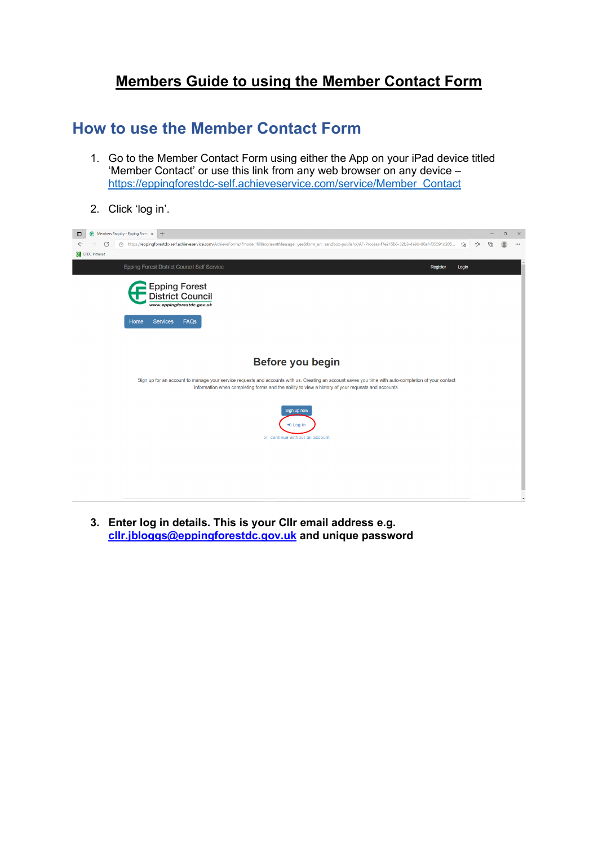## **Members Guide to using the Member Contact Form**

### **How to use the Member Contact Form**

- 1. Go to the Member Contact Form using either the App on your iPad device titled 'Member Contact' or use this link from any web browser on any device – [https://eppingforestdc-self.achieveservice.com/service/Member\\_Contact](https://eppingforestdc-self.achieveservice.com/service/Member_Contact)
- 2. Click 'log in'.



**3. Enter log in details. This is your Cllr email address e.g. [cllr.jbloggs@eppingforestdc.gov.uk](mailto:cllr.jbloggs@eppingforestdc.gov.uk) and unique password**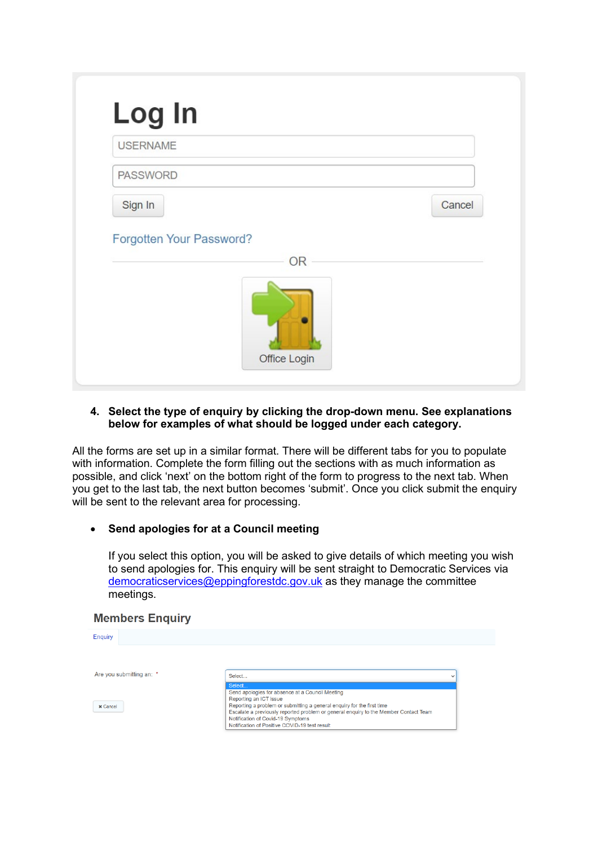| <b>USERNAME</b>          |           |
|--------------------------|-----------|
| <b>PASSWORD</b>          |           |
| Sign In                  | Cancel    |
| Forgotten Your Password? | <b>OR</b> |
|                          |           |

#### **4. Select the type of enquiry by clicking the drop-down menu. See explanations below for examples of what should be logged under each category.**

All the forms are set up in a similar format. There will be different tabs for you to populate with information. Complete the form filling out the sections with as much information as possible, and click 'next' on the bottom right of the form to progress to the next tab. When you get to the last tab, the next button becomes 'submit'. Once you click submit the enquiry will be sent to the relevant area for processing.

#### • **Send apologies for at a Council meeting**

If you select this option, you will be asked to give details of which meeting you wish to send apologies for. This enquiry will be sent straight to Democratic Services via [democraticservices@eppingforestdc.gov.uk](mailto:democraticservices@eppingforestdc.gov.uk) as they manage the committee meetings.

#### **Members Enquiry**

| <b>Enquiry</b>           |                                                                                      |              |
|--------------------------|--------------------------------------------------------------------------------------|--------------|
|                          |                                                                                      |              |
| Are you submitting an: * | Select                                                                               | $\checkmark$ |
|                          | Select                                                                               |              |
|                          | Send apologies for absence at a Council Meeting<br>Reporting an ICT issue            |              |
| <b>x</b> Cancel          | Reporting a problem or submitting a general enquiry for the first time               |              |
|                          | Escalate a previously reported problem or general enquiry to the Member Contact Team |              |
|                          | Notification of Covid-19 Symptoms<br>Notification of Positive COVID-19 test result   |              |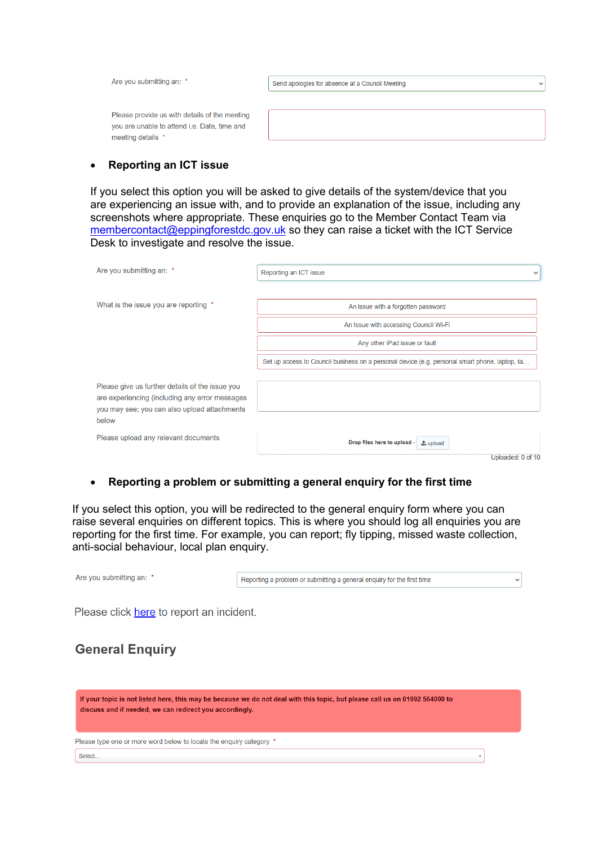| Are you submitting an: *                                                                                           | Send apologies for absence at a Council Meeting<br>$\check{ }$ |
|--------------------------------------------------------------------------------------------------------------------|----------------------------------------------------------------|
| Please provide us with details of the meeting<br>you are unable to attend i.e. Date, time and<br>meeting details * |                                                                |

#### • **Reporting an ICT issue**

If you select this option you will be asked to give details of the system/device that you are experiencing an issue with, and to provide an explanation of the issue, including any screenshots where appropriate. These enquiries go to the Member Contact Team via [membercontact@eppingforestdc.gov.uk](mailto:membercontact@eppingforestdc.gov.uk) so they can raise a ticket with the ICT Service Desk to investigate and resolve the issue.

| Are you submitting an: *                                                                                                                                   | Reporting an ICT issue<br>$\checkmark$                                                        |
|------------------------------------------------------------------------------------------------------------------------------------------------------------|-----------------------------------------------------------------------------------------------|
|                                                                                                                                                            |                                                                                               |
| What is the issue you are reporting *                                                                                                                      | An issue with a forgotten password                                                            |
|                                                                                                                                                            | An Issue with accessing Council Wi-Fi                                                         |
|                                                                                                                                                            | Any other iPad issue or fault                                                                 |
|                                                                                                                                                            | Set up access to Council business on a personal device (e.g. personal smart phone, laptop, ta |
| Please give us further details of the issue you<br>are experiencing (including any error messages<br>you may see; you can also upload attachments<br>below |                                                                                               |
| Please upload any relevant documents                                                                                                                       | Drop files here to upload -<br>$\triangle$ upload                                             |
|                                                                                                                                                            | Uploaded: 0 of 10                                                                             |

#### • **Reporting a problem or submitting a general enquiry for the first time**

If you select this option, you will be redirected to the general enquiry form where you can raise several enquiries on different topics. This is where you should log all enquiries you are reporting for the first time. For example, you can report; fly tipping, missed waste collection, anti-social behaviour, local plan enquiry.

| Are you submitting an: *                 | Reporting a problem or submitting a general enquiry for the first time | $\checkmark$ |
|------------------------------------------|------------------------------------------------------------------------|--------------|
| Please click here to report an incident. |                                                                        |              |
| <b>General Enguiry</b>                   |                                                                        |              |

| If your topic is not listed here, this may be because we do not deal with this topic, but please call us on 01992 564000 to<br>discuss and if needed, we can redirect you accordingly. |  |
|----------------------------------------------------------------------------------------------------------------------------------------------------------------------------------------|--|
| Please type one or more word below to locate the enquiry category *                                                                                                                    |  |
| Select                                                                                                                                                                                 |  |